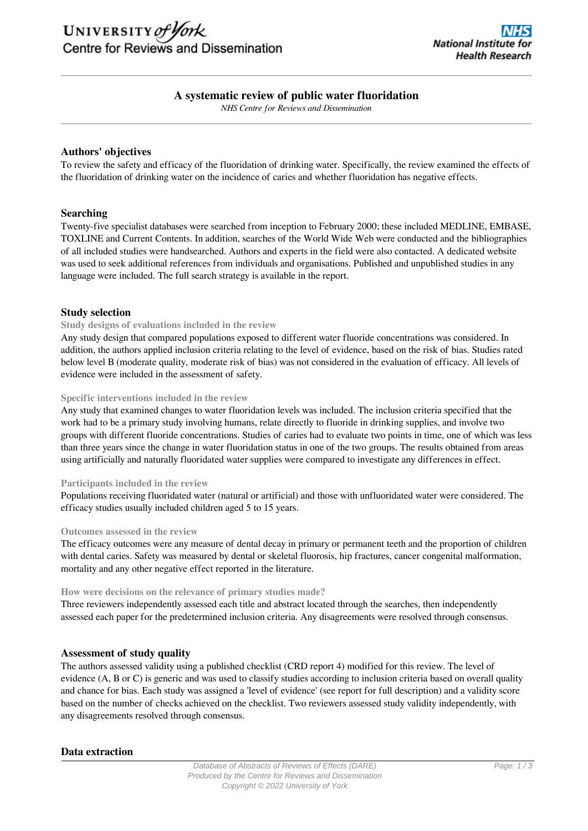# UNIVERSITY of York Centre for Reviews and Dissemination

# **A systematic review of public water fluoridation**

*NHS Centre for Reviews and Dissemination*

## **Authors' objectives**

To review the safety and efficacy of the fluoridation of drinking water. Specifically, the review examined the effects of the fluoridation of drinking water on the incidence of caries and whether fluoridation has negative effects.

## **Searching**

Twenty-five specialist databases were searched from inception to February 2000; these included MEDLINE, EMBASE, TOXLINE and Current Contents. In addition, searches of the World Wide Web were conducted and the bibliographies of all included studies were handsearched. Authors and experts in the field were also contacted. A dedicated website was used to seek additional references from individuals and organisations. Published and unpublished studies in any language were included. The full search strategy is available in the report.

## **Study selection**

#### **Study designs of evaluations included in the review**

Any study design that compared populations exposed to different water fluoride concentrations was considered. In addition, the authors applied inclusion criteria relating to the level of evidence, based on the risk of bias. Studies rated below level B (moderate quality, moderate risk of bias) was not considered in the evaluation of efficacy. All levels of evidence were included in the assessment of safety.

#### **Specific interventions included in the review**

Any study that examined changes to water fluoridation levels was included. The inclusion criteria specified that the work had to be a primary study involving humans, relate directly to fluoride in drinking supplies, and involve two groups with different fluoride concentrations. Studies of caries had to evaluate two points in time, one of which was less than three years since the change in water fluoridation status in one of the two groups. The results obtained from areas using artificially and naturally fluoridated water supplies were compared to investigate any differences in effect.

#### **Participants included in the review**

Populations receiving fluoridated water (natural or artificial) and those with unfluoridated water were considered. The efficacy studies usually included children aged 5 to 15 years.

#### **Outcomes assessed in the review**

The efficacy outcomes were any measure of dental decay in primary or permanent teeth and the proportion of children with dental caries. Safety was measured by dental or skeletal fluorosis, hip fractures, cancer congenital malformation, mortality and any other negative effect reported in the literature.

#### **How were decisions on the relevance of primary studies made?**

Three reviewers independently assessed each title and abstract located through the searches, then independently assessed each paper for the predetermined inclusion criteria. Any disagreements were resolved through consensus.

#### **Assessment of study quality**

The authors assessed validity using a published checklist (CRD report 4) modified for this review. The level of evidence (A, B or C) is generic and was used to classify studies according to inclusion criteria based on overall quality and chance for bias. Each study was assigned a 'level of evidence' (see report for full description) and a validity score based on the number of checks achieved on the checklist. Two reviewers assessed study validity independently, with any disagreements resolved through consensus.

## **Data extraction**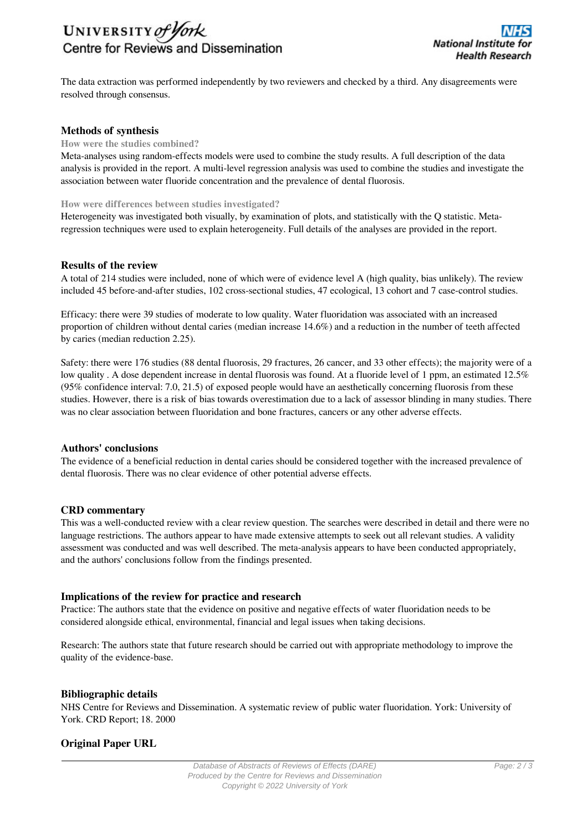# UNIVERSITY of York Centre for Reviews and Dissemination

The data extraction was performed independently by two reviewers and checked by a third. Any disagreements were resolved through consensus.

# **Methods of synthesis**

#### **How were the studies combined?**

Meta-analyses using random-effects models were used to combine the study results. A full description of the data analysis is provided in the report. A multi-level regression analysis was used to combine the studies and investigate the association between water fluoride concentration and the prevalence of dental fluorosis.

## **How were differences between studies investigated?**

Heterogeneity was investigated both visually, by examination of plots, and statistically with the Q statistic. Metaregression techniques were used to explain heterogeneity. Full details of the analyses are provided in the report.

## **Results of the review**

A total of 214 studies were included, none of which were of evidence level A (high quality, bias unlikely). The review included 45 before-and-after studies, 102 cross-sectional studies, 47 ecological, 13 cohort and 7 case-control studies.

Efficacy: there were 39 studies of moderate to low quality. Water fluoridation was associated with an increased proportion of children without dental caries (median increase 14.6%) and a reduction in the number of teeth affected by caries (median reduction 2.25).

Safety: there were 176 studies (88 dental fluorosis, 29 fractures, 26 cancer, and 33 other effects); the majority were of a low quality. A dose dependent increase in dental fluorosis was found. At a fluoride level of 1 ppm, an estimated 12.5% (95% confidence interval: 7.0, 21.5) of exposed people would have an aesthetically concerning fluorosis from these studies. However, there is a risk of bias towards overestimation due to a lack of assessor blinding in many studies. There was no clear association between fluoridation and bone fractures, cancers or any other adverse effects.

## **Authors' conclusions**

The evidence of a beneficial reduction in dental caries should be considered together with the increased prevalence of dental fluorosis. There was no clear evidence of other potential adverse effects.

## **CRD commentary**

This was a well-conducted review with a clear review question. The searches were described in detail and there were no language restrictions. The authors appear to have made extensive attempts to seek out all relevant studies. A validity assessment was conducted and was well described. The meta-analysis appears to have been conducted appropriately, and the authors' conclusions follow from the findings presented.

## **Implications of the review for practice and research**

Practice: The authors state that the evidence on positive and negative effects of water fluoridation needs to be considered alongside ethical, environmental, financial and legal issues when taking decisions.

Research: The authors state that future research should be carried out with appropriate methodology to improve the quality of the evidence-base.

## **Bibliographic details**

NHS Centre for Reviews and Dissemination. A systematic review of public water fluoridation. York: University of York. CRD Report; 18. 2000

## **Original Paper URL**